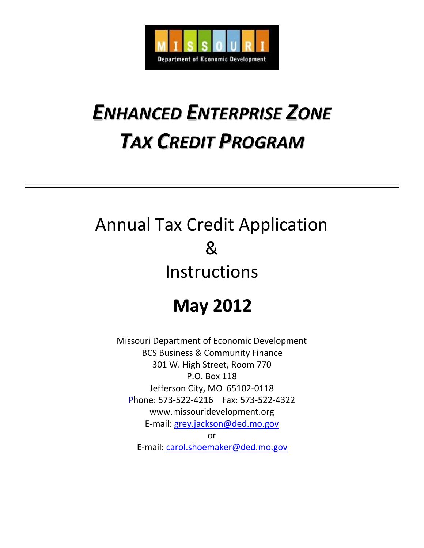

# *ENHANCED ENTERPRISE ZONE TAX CREDIT PROGRAM*

# Annual Tax Credit Application & Instructions

## **May 2012**

Missouri Department of Economic Development BCS Business & Community Finance 301 W. High Street, Room 770 P.O. Box 118 Jefferson City, MO 65102-0118 Phone: 573-522-4216 Fax: 573-522-4322 www.missouridevelopment.org E-mail: [grey.jackson@ded.mo.gov](mailto:grey.jackson@ded.mo.gov)

or

E-mail: [carol.shoemaker@ded.mo.gov](mailto:carol.shoemaker@ded.mo.gov)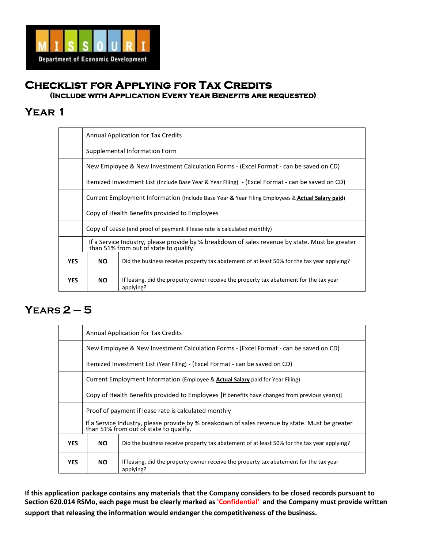

### **Checklist for Applying for Tax Credits (Include with Application Every Year Benefits are requested)**

### **Year 1**

|            |                                                                                                  | <b>Annual Application for Tax Credits</b>                                                                                                 |  |  |  |  |  |  |
|------------|--------------------------------------------------------------------------------------------------|-------------------------------------------------------------------------------------------------------------------------------------------|--|--|--|--|--|--|
|            | Supplemental Information Form                                                                    |                                                                                                                                           |  |  |  |  |  |  |
|            | New Employee & New Investment Calculation Forms - (Excel Format - can be saved on CD)            |                                                                                                                                           |  |  |  |  |  |  |
|            | Itemized Investment List (Include Base Year & Year Filing) - (Excel Format - can be saved on CD) |                                                                                                                                           |  |  |  |  |  |  |
|            | Current Employment Information (Include Base Year & Year Filing Employees & Actual Salary paid)  |                                                                                                                                           |  |  |  |  |  |  |
|            | Copy of Health Benefits provided to Employees                                                    |                                                                                                                                           |  |  |  |  |  |  |
|            | Copy of Lease (and proof of payment if lease rate is calculated monthly)                         |                                                                                                                                           |  |  |  |  |  |  |
|            |                                                                                                  | If a Service Industry, please provide by % breakdown of sales revenue by state. Must be greater<br>than 51% from out of state to qualify. |  |  |  |  |  |  |
| <b>YES</b> | <b>NO</b>                                                                                        | Did the business receive property tax abatement of at least 50% for the tax year applying?                                                |  |  |  |  |  |  |
| <b>YES</b> | <b>NO</b>                                                                                        | If leasing, did the property owner receive the property tax abatement for the tax year<br>applying?                                       |  |  |  |  |  |  |

### **YEARS 2 – 5**

|            | <b>Annual Application for Tax Credits</b>                                                                                                 |                                                                                                     |  |  |  |  |  |  |
|------------|-------------------------------------------------------------------------------------------------------------------------------------------|-----------------------------------------------------------------------------------------------------|--|--|--|--|--|--|
|            | New Employee & New Investment Calculation Forms - (Excel Format - can be saved on CD)                                                     |                                                                                                     |  |  |  |  |  |  |
|            | Itemized Investment List (Year Filing) - (Excel Format - can be saved on CD)                                                              |                                                                                                     |  |  |  |  |  |  |
|            | Current Employment Information (Employee & Actual Salary paid for Year Filing)                                                            |                                                                                                     |  |  |  |  |  |  |
|            | Copy of Health Benefits provided to Employees [if benefits have changed from previous year(s)]                                            |                                                                                                     |  |  |  |  |  |  |
|            | Proof of payment if lease rate is calculated monthly                                                                                      |                                                                                                     |  |  |  |  |  |  |
|            | If a Service Industry, please provide by % breakdown of sales revenue by state. Must be greater<br>than 51% from out of state to qualify. |                                                                                                     |  |  |  |  |  |  |
| <b>YES</b> | <b>NO</b>                                                                                                                                 | Did the business receive property tax abatement of at least 50% for the tax year applying?          |  |  |  |  |  |  |
| <b>YES</b> | <b>NO</b>                                                                                                                                 | If leasing, did the property owner receive the property tax abatement for the tax year<br>applying? |  |  |  |  |  |  |

**If this application package contains any materials that the Company considers to be closed records pursuant to Section 620.014 RSMo, each page must be clearly marked as 'Confidential' and the Company must provide written support that releasing the information would endanger the competitiveness of the business.**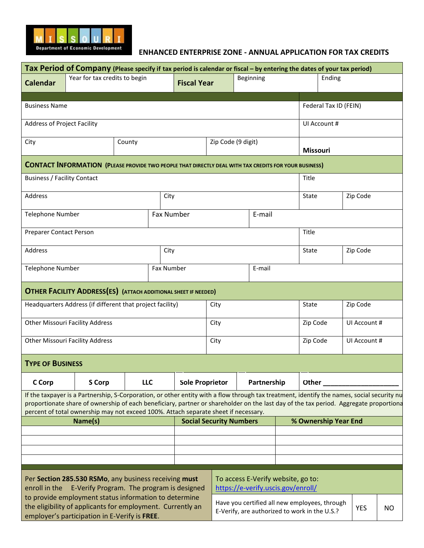

#### **ENHANCED ENTERPRISE ZONE - ANNUAL APPLICATION FOR TAX CREDITS**

|                                    | Tax Period of Company (Please specify if tax period is calendar or fiscal - by entering the dates of your tax period)                                                                                                                                                                                                                                                      |        |            |                        |                                |                                                                                                |             |                          |                       |              |     |
|------------------------------------|----------------------------------------------------------------------------------------------------------------------------------------------------------------------------------------------------------------------------------------------------------------------------------------------------------------------------------------------------------------------------|--------|------------|------------------------|--------------------------------|------------------------------------------------------------------------------------------------|-------------|--------------------------|-----------------------|--------------|-----|
| <b>Calendar</b>                    | Year for tax credits to begin                                                                                                                                                                                                                                                                                                                                              |        |            | <b>Fiscal Year</b>     |                                | Beginning                                                                                      |             |                          | Ending                |              |     |
| <b>Business Name</b>               |                                                                                                                                                                                                                                                                                                                                                                            |        |            |                        |                                |                                                                                                |             |                          | Federal Tax ID (FEIN) |              |     |
| <b>Address of Project Facility</b> |                                                                                                                                                                                                                                                                                                                                                                            |        |            |                        |                                |                                                                                                |             |                          | UI Account #          |              |     |
| City                               |                                                                                                                                                                                                                                                                                                                                                                            | County |            |                        | Zip Code (9 digit)             |                                                                                                |             | <b>Missouri</b>          |                       |              |     |
|                                    | <b>CONTACT INFORMATION (PLEASE PROVIDE TWO PEOPLE THAT DIRECTLY DEAL WITH TAX CREDITS FOR YOUR BUSINESS)</b>                                                                                                                                                                                                                                                               |        |            |                        |                                |                                                                                                |             |                          |                       |              |     |
| <b>Business / Facility Contact</b> |                                                                                                                                                                                                                                                                                                                                                                            |        |            |                        |                                |                                                                                                |             | Title                    |                       |              |     |
| Address                            |                                                                                                                                                                                                                                                                                                                                                                            |        | City       |                        |                                |                                                                                                |             | State                    |                       | Zip Code     |     |
| <b>Telephone Number</b>            |                                                                                                                                                                                                                                                                                                                                                                            |        | Fax Number |                        |                                | E-mail                                                                                         |             |                          |                       |              |     |
| Preparer Contact Person            |                                                                                                                                                                                                                                                                                                                                                                            |        |            |                        |                                |                                                                                                |             | Title                    |                       |              |     |
| Address                            |                                                                                                                                                                                                                                                                                                                                                                            |        | City       |                        |                                |                                                                                                |             | State<br>Zip Code        |                       |              |     |
| <b>Telephone Number</b>            |                                                                                                                                                                                                                                                                                                                                                                            |        | Fax Number |                        |                                | E-mail                                                                                         |             |                          |                       |              |     |
|                                    | <b>OTHER FACILITY ADDRESS(ES) (ATTACH ADDITIONAL SHEET IF NEEDED)</b>                                                                                                                                                                                                                                                                                                      |        |            |                        |                                |                                                                                                |             |                          |                       |              |     |
|                                    | Headquarters Address (if different that project facility)                                                                                                                                                                                                                                                                                                                  |        |            |                        | City                           | State                                                                                          |             |                          | Zip Code              |              |     |
|                                    | <b>Other Missouri Facility Address</b>                                                                                                                                                                                                                                                                                                                                     |        |            |                        | City                           |                                                                                                |             | Zip Code<br>UI Account # |                       |              |     |
|                                    | <b>Other Missouri Facility Address</b>                                                                                                                                                                                                                                                                                                                                     |        |            |                        | City                           |                                                                                                |             | Zip Code                 |                       | UI Account # |     |
| <b>TYPE OF BUSINESS</b>            |                                                                                                                                                                                                                                                                                                                                                                            |        |            |                        |                                |                                                                                                |             |                          |                       |              |     |
| C Corp                             | <b>S Corp</b>                                                                                                                                                                                                                                                                                                                                                              | LLC    |            | <b>Sole Proprietor</b> |                                |                                                                                                | Partnership | Other                    |                       |              |     |
|                                    | If the taxpayer is a Partnership, S-Corporation, or other entity with a flow through tax treatment, identify the names, social security nu<br>proportionate share of ownership of each beneficiary, partner or shareholder on the last day of the tax period. Aggregate proportiona<br>percent of total ownership may not exceed 100%. Attach separate sheet if necessary. |        |            |                        |                                |                                                                                                |             |                          |                       |              |     |
|                                    | Name(s)                                                                                                                                                                                                                                                                                                                                                                    |        |            |                        | <b>Social Security Numbers</b> |                                                                                                |             |                          | % Ownership Year End  |              |     |
|                                    |                                                                                                                                                                                                                                                                                                                                                                            |        |            |                        |                                |                                                                                                |             |                          |                       |              |     |
|                                    |                                                                                                                                                                                                                                                                                                                                                                            |        |            |                        |                                |                                                                                                |             |                          |                       |              |     |
|                                    | Per Section 285.530 RSMo, any business receiving must<br>enroll in the E-Verify Program. The program is designed                                                                                                                                                                                                                                                           |        |            |                        |                                | To access E-Verify website, go to:<br>https://e-verify.uscis.gov/enroll/                       |             |                          |                       |              |     |
|                                    | to provide employment status information to determine<br>the eligibility of applicants for employment. Currently an<br>employer's participation in E-Verify is FREE.                                                                                                                                                                                                       |        |            |                        |                                | Have you certified all new employees, through<br>E-Verify, are authorized to work in the U.S.? |             |                          |                       | <b>YES</b>   | NO. |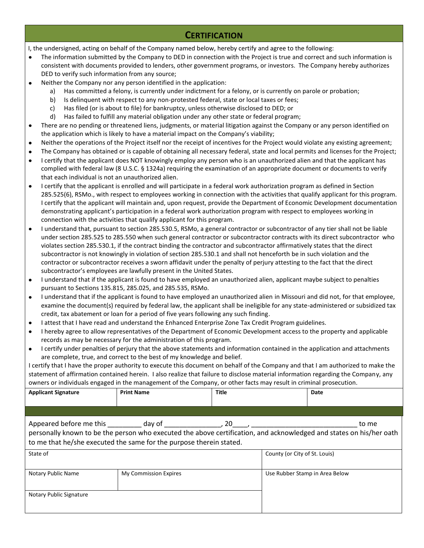### **CERTIFICATION**

I, the undersigned, acting on behalf of the Company named below, hereby certify and agree to the following:

- The information submitted by the Company to DED in connection with the Project is true and correct and such information is consistent with documents provided to lenders, other government programs, or investors. The Company hereby authorizes DED to verify such information from any source;
- Neither the Company nor any person identified in the application:  $\bullet$ 
	- a) Has committed a felony, is currently under indictment for a felony, or is currently on parole or probation;
	- b) Is delinquent with respect to any non-protested federal, state or local taxes or fees;
	- c) Has filed (or is about to file) for bankruptcy, unless otherwise disclosed to DED; or
	- d) Has failed to fulfill any material obligation under any other state or federal program;
- There are no pending or threatened liens, judgments, or material litigation against the Company or any person identified on the application which is likely to have a material impact on the Company's viability;
- Neither the operations of the Project itself nor the receipt of incentives for the Project would violate any existing agreement;
- The Company has obtained or is capable of obtaining all necessary federal, state and local permits and licenses for the Project;
- I certify that the applicant does NOT knowingly employ any person who is an unauthorized alien and that the applicant has complied with federal law (8 U.S.C. § 1324a) requiring the examination of an appropriate document or documents to verify that each individual is not an unauthorized alien.
- I certify that the applicant is enrolled and will participate in a federal work authorization program as defined in Section 285.525(6), RSMo., with respect to employees working in connection with the activities that qualify applicant for this program. I certify that the applicant will maintain and, upon request, provide the Department of Economic Development documentation demonstrating applicant's participation in a federal work authorization program with respect to employees working in connection with the activities that qualify applicant for this program.
- I understand that, pursuant to section 285.530.5, RSMo, a general contractor or subcontractor of any tier shall not be liable  $\bullet$ under section 285.525 to 285.550 when such general contractor or subcontractor contracts with its direct subcontractor who violates section 285.530.1, if the contract binding the contractor and subcontractor affirmatively states that the direct subcontractor is not knowingly in violation of section 285.530.1 and shall not henceforth be in such violation and the contractor or subcontractor receives a sworn affidavit under the penalty of perjury attesting to the fact that the direct subcontractor's employees are lawfully present in the United States.
- I understand that if the applicant is found to have employed an unauthorized alien, applicant maybe subject to penalties  $\bullet$ pursuant to Sections 135.815, 285.025, and 285.535, RSMo.
- I understand that if the applicant is found to have employed an unauthorized alien in Missouri and did not, for that employee, examine the document(s) required by federal law, the applicant shall be ineligible for any state-administered or subsidized tax credit, tax abatement or loan for a period of five years following any such finding.
- I attest that I have read and understand the Enhanced Enterprise Zone Tax Credit Program guidelines.
- I hereby agree to allow representatives of the Department of Economic Development access to the property and applicable records as may be necessary for the administration of this program.
- I certify under penalties of perjury that the above statements and information contained in the application and attachments are complete, true, and correct to the best of my knowledge and belief.

I certify that I have the proper authority to execute this document on behalf of the Company and that I am authorized to make the statement of affirmation contained herein. I also realize that failure to disclose material information regarding the Company, any owners or individuals engaged in the management of the Company, or other facts may result in criminal prosecution.

| <b>Applicant Signature</b> | <b>Print Name</b>                                                                                                                                                                                                                                                                                            | <b>Title</b> |                               | Date                           |
|----------------------------|--------------------------------------------------------------------------------------------------------------------------------------------------------------------------------------------------------------------------------------------------------------------------------------------------------------|--------------|-------------------------------|--------------------------------|
|                            |                                                                                                                                                                                                                                                                                                              |              |                               |                                |
|                            | Appeared before me this day of the set of the set of the set of the set of the set of the set of the set of th<br>personally known to be the person who executed the above certification, and acknowledged and states on his/her oath<br>to me that he/she executed the same for the purpose therein stated. |              |                               | to me                          |
| State of                   |                                                                                                                                                                                                                                                                                                              |              | County (or City of St. Louis) |                                |
| Notary Public Name         | My Commission Expires                                                                                                                                                                                                                                                                                        |              |                               | Use Rubber Stamp in Area Below |
| Notary Public Signature    |                                                                                                                                                                                                                                                                                                              |              |                               |                                |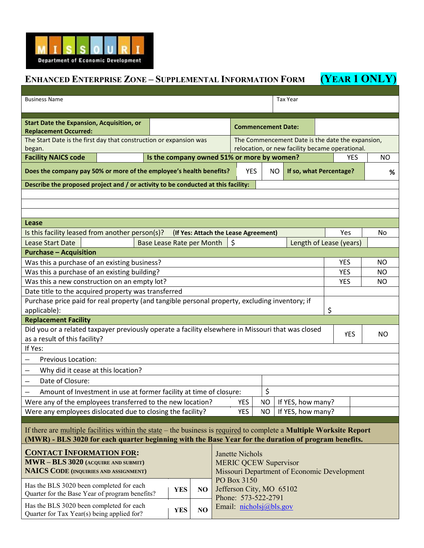

## **ENHANCED ENTERPRISE ZONE – SUPPLEMENTAL INFORMATION FORM (YEAR 1 ONLY)**

| <b>Business Name</b>                                                                                                               |                                                     |                                            |            |                                      |                           |                              |     |            | <b>Tax Year</b>                                  |           |            |                |
|------------------------------------------------------------------------------------------------------------------------------------|-----------------------------------------------------|--------------------------------------------|------------|--------------------------------------|---------------------------|------------------------------|-----|------------|--------------------------------------------------|-----------|------------|----------------|
|                                                                                                                                    |                                                     |                                            |            |                                      |                           |                              |     |            |                                                  |           |            |                |
| <b>Start Date the Expansion, Acquisition, or</b>                                                                                   |                                                     |                                            |            |                                      |                           |                              |     |            |                                                  |           |            |                |
| <b>Replacement Occurred:</b>                                                                                                       |                                                     |                                            |            |                                      | <b>Commencement Date:</b> |                              |     |            |                                                  |           |            |                |
| The Start Date is the first day that construction or expansion was                                                                 |                                                     |                                            |            |                                      |                           |                              |     |            | The Commencement Date is the date the expansion, |           |            |                |
| began.                                                                                                                             |                                                     |                                            |            |                                      |                           |                              |     |            | relocation, or new facility became operational.  |           |            |                |
| <b>Facility NAICS code</b>                                                                                                         |                                                     | Is the company owned 51% or more by women? |            |                                      |                           |                              |     |            |                                                  |           | <b>YES</b> | <b>NO</b>      |
| Does the company pay 50% or more of the employee's health benefits?                                                                |                                                     |                                            | <b>YES</b> |                                      | <b>NO</b>                 | If so, what Percentage?      |     |            | %                                                |           |            |                |
| Describe the proposed project and / or activity to be conducted at this facility:                                                  |                                                     |                                            |            |                                      |                           |                              |     |            |                                                  |           |            |                |
|                                                                                                                                    |                                                     |                                            |            |                                      |                           |                              |     |            |                                                  |           |            |                |
|                                                                                                                                    |                                                     |                                            |            |                                      |                           |                              |     |            |                                                  |           |            |                |
|                                                                                                                                    |                                                     |                                            |            |                                      |                           |                              |     |            |                                                  |           |            |                |
| Lease                                                                                                                              |                                                     |                                            |            |                                      |                           |                              |     |            |                                                  |           |            |                |
| Is this facility leased from another person(s)?                                                                                    |                                                     |                                            |            | (If Yes: Attach the Lease Agreement) |                           |                              |     |            |                                                  |           | Yes        | No             |
| <b>Lease Start Date</b>                                                                                                            |                                                     | <b>Base Lease Rate per Month</b>           |            |                                      |                           | S                            |     |            | Length of Lease (years)                          |           |            |                |
| <b>Purchase - Acquisition</b>                                                                                                      |                                                     |                                            |            |                                      |                           |                              |     |            |                                                  |           |            |                |
| Was this a purchase of an existing business?                                                                                       |                                                     |                                            |            |                                      |                           |                              |     |            |                                                  |           | <b>YES</b> | N <sub>O</sub> |
| Was this a purchase of an existing building?                                                                                       |                                                     |                                            |            |                                      |                           |                              |     |            | <b>YES</b>                                       | <b>NO</b> |            |                |
| Was this a new construction on an empty lot?                                                                                       |                                                     |                                            |            |                                      |                           |                              |     | <b>YES</b> | <b>NO</b>                                        |           |            |                |
|                                                                                                                                    | Date title to the acquired property was transferred |                                            |            |                                      |                           |                              |     |            |                                                  |           |            |                |
| Purchase price paid for real property (and tangible personal property, excluding inventory; if                                     |                                                     |                                            |            |                                      |                           |                              |     |            |                                                  |           |            |                |
| \$<br>applicable):                                                                                                                 |                                                     |                                            |            |                                      |                           |                              |     |            |                                                  |           |            |                |
| <b>Replacement Facility</b>                                                                                                        |                                                     |                                            |            |                                      |                           |                              |     |            |                                                  |           |            |                |
| Did you or a related taxpayer previously operate a facility elsewhere in Missouri that was closed<br>as a result of this facility? |                                                     |                                            |            |                                      |                           |                              |     |            |                                                  |           | <b>YES</b> | NO.            |
| If Yes:                                                                                                                            |                                                     |                                            |            |                                      |                           |                              |     |            |                                                  |           |            |                |
| <b>Previous Location:</b>                                                                                                          |                                                     |                                            |            |                                      |                           |                              |     |            |                                                  |           |            |                |
| Why did it cease at this location?                                                                                                 |                                                     |                                            |            |                                      |                           |                              |     |            |                                                  |           |            |                |
| Date of Closure:<br>$\overline{\phantom{m}}$                                                                                       |                                                     |                                            |            |                                      |                           |                              |     |            |                                                  |           |            |                |
| Amount of Investment in use at former facility at time of closure:                                                                 |                                                     |                                            |            |                                      |                           |                              | \$  |            |                                                  |           |            |                |
| Were any of the employees transferred to the new location?                                                                         |                                                     |                                            |            |                                      |                           | YES                          | NO  |            | If YES, how many?                                |           |            |                |
| Were any employees dislocated due to closing the facility?                                                                         |                                                     |                                            |            |                                      |                           | <b>YES</b>                   | NO. |            | If YES, how many?                                |           |            |                |
|                                                                                                                                    |                                                     |                                            |            |                                      |                           |                              |     |            |                                                  |           |            |                |
| If there are multiple facilities within the state – the business is required to complete a <b>Multiple Worksite Report</b>         |                                                     |                                            |            |                                      |                           |                              |     |            |                                                  |           |            |                |
| (MWR) - BLS 3020 for each quarter beginning with the Base Year for the duration of program benefits.                               |                                                     |                                            |            |                                      |                           |                              |     |            |                                                  |           |            |                |
| <b>CONTACT INFORMATION FOR:</b>                                                                                                    |                                                     |                                            |            |                                      |                           | <b>Janette Nichols</b>       |     |            |                                                  |           |            |                |
| MWR - BLS 3020 (ACQUIRE AND SUBMIT)                                                                                                |                                                     |                                            |            |                                      |                           | <b>MERIC QCEW Supervisor</b> |     |            |                                                  |           |            |                |
| <b>NAICS CODE</b> (INQUIRIES AND ASSIGNMENT)                                                                                       |                                                     |                                            |            |                                      |                           |                              |     |            | Missouri Department of Economic Development      |           |            |                |
|                                                                                                                                    |                                                     |                                            |            |                                      |                           | PO Box 3150                  |     |            |                                                  |           |            |                |
| Has the BLS 3020 been completed for each<br>Quarter for the Base Year of program benefits?                                         |                                                     |                                            | <b>YES</b> | NO                                   |                           | Jefferson City, MO 65102     |     |            |                                                  |           |            |                |
|                                                                                                                                    |                                                     |                                            |            |                                      |                           | Phone: 573-522-2791          |     |            |                                                  |           |            |                |
| Has the BLS 3020 been completed for each<br>Quarter for Tax Year(s) being applied for?                                             |                                                     |                                            | <b>YES</b> | NO                                   |                           | Email: $nicholsj@bls.gov$    |     |            |                                                  |           |            |                |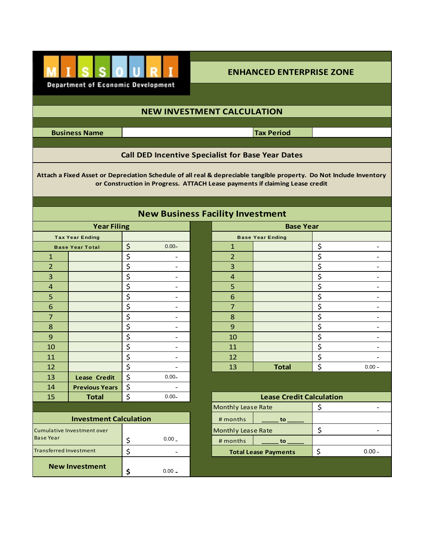

### **ENHANCED ENTERPRISE ZONE**

### **NEW INVESTMENT CALCULATION**

**Business Name**

**Tax Period**

### **Call DED Incentive Specialist for Base Year Dates**

**Attach a Fixed Asset or Depreciation Schedule of all real & depreciable tangible property. Do Not Include Inventory or Construction in Progress. ATTACH Lease payments if claiming Lease credit**

|                               |                                   |                                                                                                                     | <b>New Business</b> |
|-------------------------------|-----------------------------------|---------------------------------------------------------------------------------------------------------------------|---------------------|
|                               | <b>Year Filing</b>                |                                                                                                                     |                     |
|                               | <b>Tax Year Ending</b>            |                                                                                                                     |                     |
|                               | <b>Base Year Total</b>            | $\zeta$                                                                                                             | $0.00 -$            |
| $\mathbf{1}$                  |                                   |                                                                                                                     |                     |
| $\overline{2}$                |                                   |                                                                                                                     |                     |
| 3                             |                                   |                                                                                                                     |                     |
| $\overline{4}$                |                                   |                                                                                                                     |                     |
| 5                             |                                   | $\frac{1}{2}$<br>$\frac{1}{2}$<br>$\frac{1}{2}$<br>$\frac{1}{2}$<br>$\frac{1}{2}$<br>$\frac{1}{2}$<br>$\frac{1}{2}$ |                     |
| 6                             |                                   |                                                                                                                     |                     |
| 7                             |                                   | $\frac{1}{2}$<br>$\frac{1}{2}$<br>$\frac{1}{2}$<br>$\frac{1}{2}$<br>$\frac{1}{2}$<br>$\frac{1}{2}$<br>$\frac{1}{2}$ |                     |
| 8                             |                                   |                                                                                                                     |                     |
| 9                             |                                   |                                                                                                                     |                     |
| 10                            |                                   |                                                                                                                     |                     |
| 11                            |                                   |                                                                                                                     |                     |
| 12                            |                                   |                                                                                                                     |                     |
| 13                            | <b>Lease Credit</b>               |                                                                                                                     | $0.00 -$            |
| 14                            | <b>Previous Years</b>             | $rac{5}{5}$                                                                                                         |                     |
| 15                            | <b>Total</b>                      |                                                                                                                     | $0.00 -$            |
|                               |                                   |                                                                                                                     |                     |
|                               | <b>Investment Calculation</b>     |                                                                                                                     |                     |
|                               | <b>Cumulative Investment over</b> |                                                                                                                     |                     |
| <b>Base Year</b>              |                                   | \$                                                                                                                  | $0.00-$             |
| <b>Transferred Investment</b> |                                   | \$                                                                                                                  |                     |
|                               | <b>New Investment</b>             |                                                                                                                     | $0.00 -$            |
|                               |                                   | \$                                                                                                                  |                     |

|                         |                               |                    | <b>New Business Facility Investment</b> |                    |                                 |    |          |  |  |
|-------------------------|-------------------------------|--------------------|-----------------------------------------|--------------------|---------------------------------|----|----------|--|--|
|                         | <b>Year Filing</b>            |                    |                                         | <b>Base Year</b>   |                                 |    |          |  |  |
|                         | <b>Tax Year Ending</b>        |                    |                                         |                    | <b>Base Year Ending</b>         |    |          |  |  |
|                         | <b>Base Year Total</b>        | \$                 | $0.00 -$                                | $\mathbf{1}$       |                                 | \$ |          |  |  |
| $\mathbf{1}$            |                               | \$                 | $\qquad \qquad -$                       | $\overline{2}$     |                                 | \$ |          |  |  |
| $\overline{2}$          |                               | \$                 |                                         | 3                  |                                 | \$ |          |  |  |
| $\overline{\mathbf{3}}$ |                               | \$                 |                                         | $\overline{4}$     |                                 | \$ |          |  |  |
| $\overline{a}$          |                               | \$                 | $\overline{\phantom{0}}$                | 5                  |                                 | \$ |          |  |  |
| 5                       |                               | \$                 | ۰                                       | 6                  |                                 | \$ |          |  |  |
| $\boldsymbol{6}$        |                               | \$                 |                                         | $\overline{7}$     |                                 | \$ |          |  |  |
| $\overline{7}$          |                               | \$                 |                                         | 8                  |                                 | \$ |          |  |  |
| $\bf 8$                 |                               | \$                 |                                         | 9                  |                                 | \$ |          |  |  |
| 9                       |                               | \$                 |                                         | 10                 |                                 | \$ |          |  |  |
| 10                      |                               | \$                 |                                         | 11                 |                                 | \$ |          |  |  |
| 11                      |                               | \$                 |                                         | 12                 |                                 | \$ |          |  |  |
| 12                      |                               | \$                 |                                         | 13                 | <b>Total</b>                    | \$ | $0.00 -$ |  |  |
| 13                      | <b>Lease Credit</b>           | \$                 | $0.00 -$                                |                    |                                 |    |          |  |  |
| 14                      | <b>Previous Years</b>         | \$                 |                                         |                    |                                 |    |          |  |  |
| 15                      | <b>Total</b>                  | $\zeta$            | $0.00 -$                                |                    | <b>Lease Credit Calculation</b> |    |          |  |  |
|                         |                               |                    |                                         | Monthly Lease Rate |                                 | \$ |          |  |  |
|                         | <b>Investment Calculation</b> |                    |                                         | # months           | to_                             |    |          |  |  |
|                         | ulative Investment over       |                    |                                         | Monthly Lease Rate |                                 | \$ |          |  |  |
| Year                    |                               | \$                 | 0.00                                    | # months           | to                              |    |          |  |  |
|                         | ferred Investment             | $\mathsf{\dot{S}}$ |                                         |                    | <b>Total Lease Payments</b>     | \$ | $0.00 -$ |  |  |

| \$<br>$0.00 -$                    | <b>Lease Credit Calculation</b> |  |  |  |  |  |  |
|-----------------------------------|---------------------------------|--|--|--|--|--|--|
| <b>Monthly Lease Rate</b>         |                                 |  |  |  |  |  |  |
| ulation<br># months               | to.                             |  |  |  |  |  |  |
| <b>Monthly Lease Rate</b>         |                                 |  |  |  |  |  |  |
| 0.00<br>\$<br># months            | to                              |  |  |  |  |  |  |
| \$<br><b>Total Lease Payments</b> | $0.00 -$                        |  |  |  |  |  |  |
|                                   |                                 |  |  |  |  |  |  |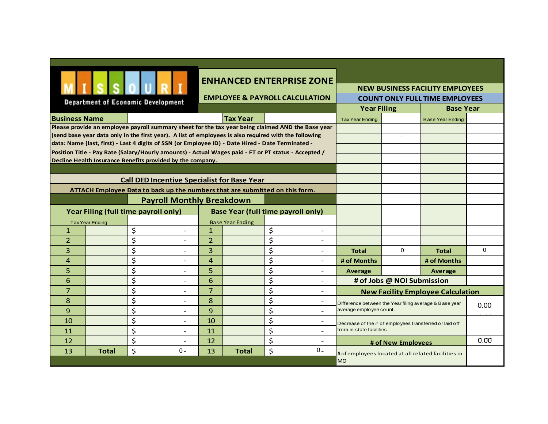|                                                                              |                                                                                   |                                                                                                       |                                                                                                   |                         | <b>ENHANCED ENTERPRISE ZONE</b>                                                                      |                                                                                    |                            |                                          |             |  |
|------------------------------------------------------------------------------|-----------------------------------------------------------------------------------|-------------------------------------------------------------------------------------------------------|---------------------------------------------------------------------------------------------------|-------------------------|------------------------------------------------------------------------------------------------------|------------------------------------------------------------------------------------|----------------------------|------------------------------------------|-------------|--|
|                                                                              |                                                                                   |                                                                                                       |                                                                                                   |                         |                                                                                                      | <b>NEW BUSINESS FACILITY EMPLOYEES</b>                                             |                            |                                          |             |  |
|                                                                              |                                                                                   | <b>Department of Economic Development</b>                                                             |                                                                                                   |                         | <b>EMPLOYEE &amp; PAYROLL CALCULATION</b>                                                            | <b>COUNT ONLY FULL TIME EMPLOYEES</b>                                              |                            |                                          |             |  |
|                                                                              |                                                                                   |                                                                                                       |                                                                                                   |                         |                                                                                                      | <b>Year Filing</b><br><b>Base Year</b>                                             |                            |                                          |             |  |
|                                                                              | <b>Tax Year</b><br><b>Business Name</b>                                           |                                                                                                       |                                                                                                   |                         |                                                                                                      | <b>Tax Year Ending</b>                                                             |                            | <b>Base Year Ending</b>                  |             |  |
|                                                                              |                                                                                   | (send base year data only in the first year). A list of employees is also required with the following | Please provide an employee payroll summary sheet for the tax year being claimed AND the Base year |                         |                                                                                                      |                                                                                    |                            |                                          |             |  |
|                                                                              |                                                                                   | data: Name (last, first) - Last 4 digits of SSN (or Employee ID) - Date Hired - Date Terminated -     |                                                                                                   |                         |                                                                                                      |                                                                                    |                            |                                          |             |  |
|                                                                              |                                                                                   |                                                                                                       |                                                                                                   |                         | Position Title - Pay Rate (Salary/Hourly amounts) - Actual Wages paid - FT or PT status - Accepted / |                                                                                    |                            |                                          |             |  |
|                                                                              |                                                                                   | Decline Health Insurance Benefits provided by the company.                                            |                                                                                                   |                         |                                                                                                      |                                                                                    |                            |                                          |             |  |
|                                                                              |                                                                                   |                                                                                                       |                                                                                                   |                         |                                                                                                      |                                                                                    |                            |                                          |             |  |
|                                                                              |                                                                                   | <b>Call DED Incentive Specialist for Base Year</b>                                                    |                                                                                                   |                         |                                                                                                      |                                                                                    |                            |                                          |             |  |
| ATTACH Employee Data to back up the numbers that are submitted on this form. |                                                                                   |                                                                                                       |                                                                                                   |                         |                                                                                                      |                                                                                    |                            |                                          |             |  |
| <b>Payroll Monthly Breakdown</b>                                             |                                                                                   |                                                                                                       |                                                                                                   |                         |                                                                                                      |                                                                                    |                            |                                          |             |  |
|                                                                              | Year Filing (full time payroll only)<br><b>Base Year (full time payroll only)</b> |                                                                                                       |                                                                                                   |                         |                                                                                                      |                                                                                    |                            |                                          |             |  |
|                                                                              | <b>Tax Year Ending</b>                                                            |                                                                                                       |                                                                                                   | <b>Base Year Ending</b> |                                                                                                      |                                                                                    |                            |                                          |             |  |
| 1                                                                            |                                                                                   | \$<br>$\overline{a}$                                                                                  | $\mathbf{1}$                                                                                      |                         | \$<br>$\overline{\phantom{a}}$                                                                       |                                                                                    |                            |                                          |             |  |
| $\overline{2}$                                                               |                                                                                   | \$                                                                                                    | $\overline{2}$                                                                                    |                         | \$                                                                                                   |                                                                                    |                            |                                          |             |  |
| 3                                                                            |                                                                                   | \$                                                                                                    | 3                                                                                                 |                         | \$                                                                                                   | <b>Total</b>                                                                       | $\Omega$                   | <b>Total</b>                             | $\mathbf 0$ |  |
| 4                                                                            |                                                                                   | \$                                                                                                    | $\overline{4}$                                                                                    |                         | \$<br>$\sim$                                                                                         | # of Months                                                                        |                            | # of Months                              |             |  |
| 5                                                                            |                                                                                   | \$<br>$\overline{\phantom{0}}$                                                                        | 5                                                                                                 |                         | \$<br>$\overline{\phantom{a}}$                                                                       | Average                                                                            |                            | Average                                  |             |  |
| 6                                                                            |                                                                                   | \$                                                                                                    | 6                                                                                                 |                         | \$                                                                                                   |                                                                                    | # of Jobs @ NOI Submission |                                          |             |  |
| $\overline{7}$                                                               |                                                                                   | \$<br>$\blacksquare$<br>\$                                                                            | $\overline{7}$                                                                                    |                         | \$<br>$\overline{\phantom{a}}$                                                                       |                                                                                    |                            | <b>New Facility Employee Calculation</b> |             |  |
| 8<br>9                                                                       |                                                                                   | \$                                                                                                    | 8<br>9                                                                                            |                         | \$<br>\$                                                                                             | Difference between the Year filing average & Base year<br>average employee count.  |                            |                                          | 0.00        |  |
| 10                                                                           |                                                                                   | \$                                                                                                    | 10                                                                                                |                         | \$                                                                                                   |                                                                                    |                            |                                          |             |  |
| 11                                                                           |                                                                                   | \$                                                                                                    | 11                                                                                                |                         | \$                                                                                                   | Decrease of the # of employees transferred or laid off<br>from in-state facilities |                            |                                          |             |  |
| 12                                                                           |                                                                                   | \$<br>$\overline{\phantom{0}}$                                                                        | 12                                                                                                |                         | \$<br>$\overline{\phantom{a}}$                                                                       |                                                                                    |                            |                                          | 0.00        |  |
| 13                                                                           | <b>Total</b>                                                                      | \$<br>$0 -$                                                                                           | 13                                                                                                | <b>Total</b>            | \$<br>$0 -$                                                                                          |                                                                                    | # of New Employees         |                                          |             |  |
|                                                                              |                                                                                   |                                                                                                       |                                                                                                   |                         |                                                                                                      | # of employees located at all related facilities in<br><b>MO</b>                   |                            |                                          |             |  |
|                                                                              |                                                                                   |                                                                                                       |                                                                                                   |                         |                                                                                                      |                                                                                    |                            |                                          |             |  |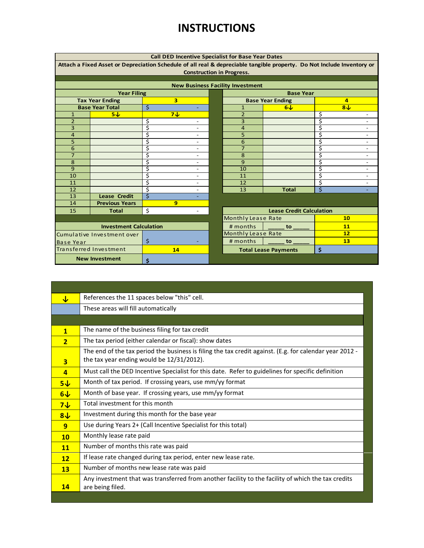## **INSTRUCTIONS**

| <b>Call DED Incentive Specialist for Base Year Dates</b>                                                               |                                              |                               |                          |  |                           |                                 |                |                          |  |  |  |
|------------------------------------------------------------------------------------------------------------------------|----------------------------------------------|-------------------------------|--------------------------|--|---------------------------|---------------------------------|----------------|--------------------------|--|--|--|
| Attach a Fixed Asset or Depreciation Schedule of all real & depreciable tangible property. Do Not Include Inventory or |                                              |                               |                          |  |                           |                                 |                |                          |  |  |  |
|                                                                                                                        | <b>Construction in Progress.</b>             |                               |                          |  |                           |                                 |                |                          |  |  |  |
|                                                                                                                        |                                              |                               |                          |  |                           |                                 |                |                          |  |  |  |
|                                                                                                                        | <b>New Business Facility Investment</b>      |                               |                          |  |                           |                                 |                |                          |  |  |  |
|                                                                                                                        | <b>Year Filing</b><br><b>Base Year</b>       |                               |                          |  |                           |                                 |                |                          |  |  |  |
|                                                                                                                        | <b>Tax Year Ending</b>                       | 3                             |                          |  |                           | <b>Base Year Ending</b>         | $\overline{a}$ |                          |  |  |  |
|                                                                                                                        | <b>Base Year Total</b>                       | $\mathsf{\dot{S}}$            | ÷                        |  | $\mathbf{1}$              | 6J                              | 8J             |                          |  |  |  |
| $\mathbf{1}$                                                                                                           | 5J                                           | 7J                            |                          |  | 2                         |                                 | \$             |                          |  |  |  |
| $\overline{2}$                                                                                                         |                                              | \$                            |                          |  | 3                         |                                 | \$             | $\overline{a}$           |  |  |  |
| 3                                                                                                                      |                                              | \$                            | $\overline{\phantom{0}}$ |  | $\overline{4}$            |                                 | \$             | $\overline{a}$           |  |  |  |
| 4                                                                                                                      |                                              | \$                            | $\overline{\phantom{0}}$ |  | 5                         |                                 | \$             | $\overline{a}$           |  |  |  |
| 5                                                                                                                      |                                              | \$                            | $\overline{\phantom{0}}$ |  | 6                         |                                 | \$             | $\overline{\phantom{0}}$ |  |  |  |
| 6                                                                                                                      |                                              | \$                            | $\overline{\phantom{0}}$ |  | 7                         |                                 | \$             | $\overline{a}$           |  |  |  |
| $\overline{7}$                                                                                                         |                                              | \$                            | $\overline{a}$           |  | 8                         |                                 | \$             | $\overline{\phantom{0}}$ |  |  |  |
| 8                                                                                                                      |                                              | \$                            | $\overline{\phantom{0}}$ |  | 9                         |                                 | \$             | $\overline{\phantom{0}}$ |  |  |  |
| 9                                                                                                                      |                                              | \$                            | $\overline{a}$           |  | 10                        |                                 | \$             | $\overline{\phantom{a}}$ |  |  |  |
| 10                                                                                                                     |                                              | \$                            | $\overline{\phantom{0}}$ |  | 11                        |                                 | \$             | $\overline{\phantom{0}}$ |  |  |  |
| 11                                                                                                                     |                                              | \$                            | $\overline{\phantom{0}}$ |  | 12                        |                                 | \$             | $\overline{a}$           |  |  |  |
| 12                                                                                                                     |                                              | \$<br>$\overline{\mathsf{s}}$ | $\overline{\phantom{0}}$ |  | 13                        | <b>Total</b>                    | $\zeta$        |                          |  |  |  |
| 13<br>14                                                                                                               | <b>Lease Credit</b><br><b>Previous Years</b> | 9                             | ÷,                       |  |                           |                                 |                |                          |  |  |  |
|                                                                                                                        |                                              | \$                            |                          |  |                           |                                 |                |                          |  |  |  |
| 15                                                                                                                     | <b>Total</b>                                 |                               |                          |  |                           | <b>Lease Credit Calculation</b> |                |                          |  |  |  |
|                                                                                                                        |                                              |                               |                          |  | <b>Monthly Lease Rate</b> |                                 | 10             |                          |  |  |  |
|                                                                                                                        | <b>Investment Calculation</b>                |                               |                          |  | # months                  | to                              | 11             |                          |  |  |  |
|                                                                                                                        | Cumulative Investment over                   |                               |                          |  | Monthly Lease Rate        |                                 | 12             |                          |  |  |  |
| <b>Base Year</b>                                                                                                       |                                              | $\zeta$                       |                          |  | # months                  | to                              | 13             |                          |  |  |  |
|                                                                                                                        | Transferred Investment                       | 14                            |                          |  |                           | <b>Total Lease Payments</b>     | \$             |                          |  |  |  |
|                                                                                                                        | <b>New Investment</b>                        | Ś                             |                          |  |                           |                                 |                |                          |  |  |  |
|                                                                                                                        |                                              |                               |                          |  |                           |                                 |                |                          |  |  |  |

| ↓                       | References the 11 spaces below "this" cell.                                                                                                          |
|-------------------------|------------------------------------------------------------------------------------------------------------------------------------------------------|
|                         | These areas will fill automatically                                                                                                                  |
|                         |                                                                                                                                                      |
| $\mathbf{1}$            | The name of the business filing for tax credit                                                                                                       |
| $\overline{2}$          | The tax period (either calendar or fiscal): show dates                                                                                               |
| $\overline{\mathbf{3}}$ | - The end of the tax period the business is filing the tax credit against. (E.g. for calendar year 2012<br>the tax year ending would be 12/31/2012). |
| $\overline{a}$          | Must call the DED Incentive Specialist for this date. Refer to guidelines for specific definition                                                    |
| $5\sqrt{ }$             | Month of tax period. If crossing years, use mm/yy format                                                                                             |
| $6\sqrt{ }$             | Month of base year. If crossing years, use mm/yy format                                                                                              |
| $7\sqrt{ }$             | Total investment for this month                                                                                                                      |
| $8\sqrt{ }$             | Investment during this month for the base year                                                                                                       |
| 9                       | Use during Years 2+ (Call Incentive Specialist for this total)                                                                                       |
| 10                      | Monthly lease rate paid                                                                                                                              |
| 11                      | Number of months this rate was paid                                                                                                                  |
| 12                      | If lease rate changed during tax period, enter new lease rate.                                                                                       |
| 13                      | Number of months new lease rate was paid                                                                                                             |
| 14                      | Any investment that was transferred from another facility to the facility of which the tax credits<br>are being filed.                               |
|                         |                                                                                                                                                      |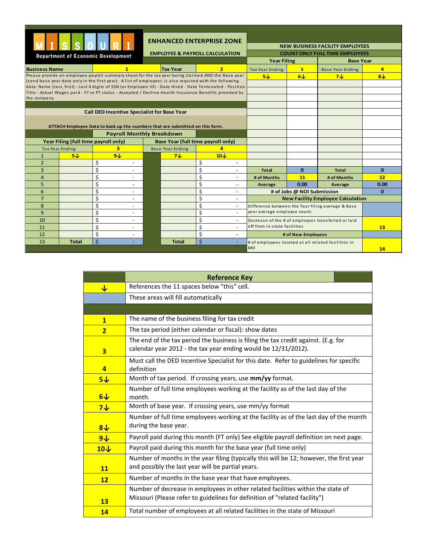|                                                                            |                                                                                                                                                                                                                                           | <b>Department of Economic Development</b>                                                                  |  |                         | <b>ENHANCED ENTERPRISE ZONE</b><br><b>EMPLOYEE &amp; PAYROLL CALCULATION</b> |                                                     |                            | <b>NEW BUSINESS FACILITY EMPLOYEES</b><br><b>COUNT ONLY FULL TIME EMPLOYEES</b> |          |  |
|----------------------------------------------------------------------------|-------------------------------------------------------------------------------------------------------------------------------------------------------------------------------------------------------------------------------------------|------------------------------------------------------------------------------------------------------------|--|-------------------------|------------------------------------------------------------------------------|-----------------------------------------------------|----------------------------|---------------------------------------------------------------------------------|----------|--|
|                                                                            |                                                                                                                                                                                                                                           |                                                                                                            |  |                         |                                                                              | <b>Year Filing</b>                                  |                            | <b>Base Year</b>                                                                |          |  |
| <b>Business Name</b>                                                       |                                                                                                                                                                                                                                           | $\mathbf{1}$                                                                                               |  | <b>Tax Year</b>         | $\overline{2}$                                                               | <b>Tax Year Ending</b>                              | $\overline{\mathbf{3}}$    | <b>Base Year Ending</b>                                                         | 4        |  |
|                                                                            | Please provide an employee payroll summary sheet for the tax year being claimed AND the Base year<br>5J<br>6J<br>7J <sub>2</sub><br>(send base year data only in the first year). A list of employees is also required with the following |                                                                                                            |  |                         |                                                                              | 8J                                                  |                            |                                                                                 |          |  |
|                                                                            |                                                                                                                                                                                                                                           | data: Name (last, first) - Last 4 digits of SSN (or Employee ID) - Date Hired - Date Terminated - Position |  |                         |                                                                              |                                                     |                            |                                                                                 |          |  |
|                                                                            |                                                                                                                                                                                                                                           | Title - Actual Wages paid - FT or PT status - Accepted / Decline Health Insurance Benefits provided by     |  |                         |                                                                              |                                                     |                            |                                                                                 |          |  |
| the company.                                                               |                                                                                                                                                                                                                                           |                                                                                                            |  |                         |                                                                              |                                                     |                            |                                                                                 |          |  |
|                                                                            |                                                                                                                                                                                                                                           |                                                                                                            |  |                         |                                                                              |                                                     |                            |                                                                                 |          |  |
|                                                                            |                                                                                                                                                                                                                                           | <b>Call DED Incentive Specialist for Base Year</b>                                                         |  |                         |                                                                              |                                                     |                            |                                                                                 |          |  |
|                                                                            |                                                                                                                                                                                                                                           |                                                                                                            |  |                         |                                                                              |                                                     |                            |                                                                                 |          |  |
|                                                                            |                                                                                                                                                                                                                                           | ATTACH Employee Data to back up the numbers that are submitted on this form.                               |  |                         |                                                                              |                                                     |                            |                                                                                 |          |  |
|                                                                            |                                                                                                                                                                                                                                           | <b>Payroll Monthly Breakdown</b>                                                                           |  |                         |                                                                              |                                                     |                            |                                                                                 |          |  |
| Year Filing (full time payroll only)<br>Base Year (full time payroll only) |                                                                                                                                                                                                                                           |                                                                                                            |  |                         |                                                                              |                                                     |                            |                                                                                 |          |  |
| <b>Tax Year Ending</b>                                                     |                                                                                                                                                                                                                                           | 3                                                                                                          |  | <b>Base Year Ending</b> | 4                                                                            |                                                     |                            |                                                                                 |          |  |
| $\mathbf{1}$                                                               | 5J                                                                                                                                                                                                                                        | 9L                                                                                                         |  | 7J <sub>2</sub>         | 10L                                                                          |                                                     |                            |                                                                                 |          |  |
| $\overline{2}$                                                             |                                                                                                                                                                                                                                           | \$<br>$\overline{\phantom{a}}$                                                                             |  |                         | \$<br>$\overline{\phantom{a}}$                                               |                                                     |                            |                                                                                 |          |  |
| 3                                                                          |                                                                                                                                                                                                                                           | \$<br>÷,                                                                                                   |  |                         | \$<br>$\sim$                                                                 | <b>Total</b>                                        | $\bf{0}$                   | <b>Total</b>                                                                    | $\bf{0}$ |  |
| $\overline{a}$                                                             |                                                                                                                                                                                                                                           | \$<br>۳                                                                                                    |  |                         | \$<br>$\sim$                                                                 | # of Months                                         | 11                         | # of Months                                                                     | 12       |  |
| 5                                                                          |                                                                                                                                                                                                                                           | \$<br>÷,                                                                                                   |  |                         | \$<br>$\sim$                                                                 | Average                                             | 0.00                       | Average                                                                         | 0.00     |  |
| 6                                                                          |                                                                                                                                                                                                                                           | \$<br>٠                                                                                                    |  |                         | \$                                                                           |                                                     | # of Jobs @ NOI Submission |                                                                                 | $\Omega$ |  |
| $\overline{7}$                                                             |                                                                                                                                                                                                                                           | \$<br>٠                                                                                                    |  |                         | \$                                                                           |                                                     |                            | <b>New Facility Employee Calculation</b>                                        |          |  |
| 8                                                                          |                                                                                                                                                                                                                                           | \$<br>$\sim$                                                                                               |  |                         | \$<br>$\sim$                                                                 | Difference between the Year filing average & Base   |                            |                                                                                 |          |  |
| 9                                                                          |                                                                                                                                                                                                                                           | Ś<br>$\overline{\phantom{0}}$                                                                              |  |                         | \$<br>÷                                                                      | year average employee count.                        |                            |                                                                                 |          |  |
| 10                                                                         |                                                                                                                                                                                                                                           | \$<br>٠                                                                                                    |  |                         | \$<br>$\overline{\phantom{a}}$                                               | Decrease of the # of employees transferred or laid  |                            |                                                                                 |          |  |
| 11                                                                         |                                                                                                                                                                                                                                           | \$<br>÷,                                                                                                   |  |                         | \$<br>÷                                                                      | off from in-state facilities                        |                            |                                                                                 | 13       |  |
| 12                                                                         |                                                                                                                                                                                                                                           | \$<br>٠                                                                                                    |  |                         | \$<br>$\sim$                                                                 |                                                     | # of New Employees         |                                                                                 |          |  |
| 13                                                                         | Total                                                                                                                                                                                                                                     | $\zeta$<br>٠                                                                                               |  | Total                   | \$<br>٠                                                                      | # of employees located at all related facilities in |                            |                                                                                 |          |  |
|                                                                            |                                                                                                                                                                                                                                           |                                                                                                            |  |                         |                                                                              | <b>MO</b>                                           |                            |                                                                                 | 14       |  |

|                         | <b>Reference Key</b>                                                                                                                                          |
|-------------------------|---------------------------------------------------------------------------------------------------------------------------------------------------------------|
| $\overline{\mathbf{V}}$ | References the 11 spaces below "this" cell.                                                                                                                   |
|                         | These areas will fill automatically                                                                                                                           |
|                         |                                                                                                                                                               |
| $\mathbf{1}$            | The name of the business filing for tax credit                                                                                                                |
| $\overline{2}$          | The tax period (either calendar or fiscal): show dates                                                                                                        |
| $\overline{\mathbf{3}}$ | The end of the tax period the business is filing the tax credit against. (E.g. for<br>calendar year 2012 - the tax year ending would be 12/31/2012).          |
| $\overline{a}$          | Must call the DED Incentive Specialist for this date. Refer to guidelines for specific<br>definition                                                          |
| $5\sqrt{ }$             | Month of tax period. If crossing years, use mm/yy format.                                                                                                     |
| $6\sqrt{ }$             | Number of full time employees working at the facility as of the last day of the<br>month.                                                                     |
| $7\sqrt{ }$             | Month of base year. If crossing years, use mm/yy format                                                                                                       |
| $8+$                    | Number of full time employees working at the facility as of the last day of the month<br>during the base year.                                                |
| 9V                      | Payroll paid during this month (FT only) See eligible payroll definition on next page.                                                                        |
| 10V                     | Payroll paid during this month for the base year (full time only)                                                                                             |
| 11                      | Number of months in the year filing (typically this will be 12; however, the first year<br>and possibly the last year will be partial years.                  |
| 12                      | Number of months in the base year that have employees.                                                                                                        |
| 13                      | Number of decrease in employees in other related facilities within the state of<br>Missouri (Please refer to guidelines for definition of "related facility") |
| 14                      | Total number of employees at all related facilities in the state of Missouri                                                                                  |